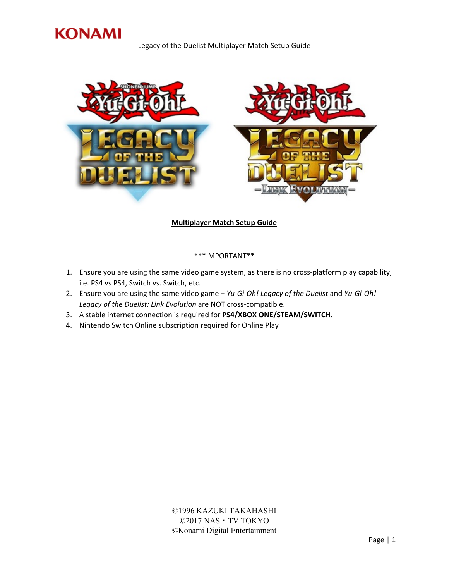

Legacy of the Duelist Multiplayer Match Setup Guide



## **Multiplayer Match Setup Guide**

## \*\*\*IMPORTANT\*\*

- 1. Ensure you are using the same video game system, as there is no cross-platform play capability, i.e. PS4 vs PS4, Switch vs. Switch, etc.
- 2. Ensure you are using the same video game *Yu-Gi-Oh! Legacy of the Duelist* and *Yu-Gi-Oh! Legacy of the Duelist: Link Evolution* are NOT cross-compatible.
- 3. A stable internet connection is required for **PS4/XBOX ONE/STEAM/SWITCH**.
- 4. Nintendo Switch Online subscription required for Online Play

©1996 KAZUKI TAKAHASHI ©2017 NAS・TV TOKYO ©Konami Digital Entertainment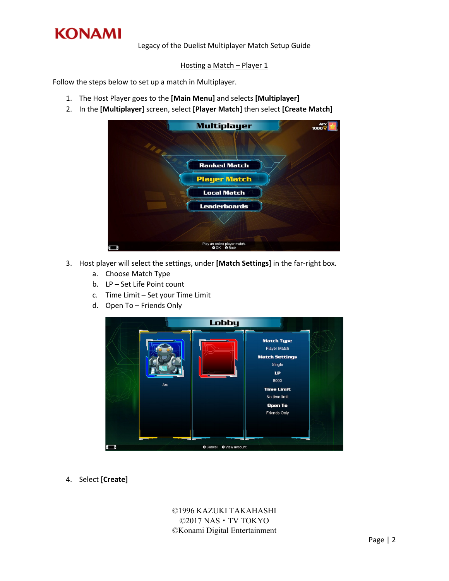

Legacy of the Duelist Multiplayer Match Setup Guide

## Hosting a Match - Player 1

Follow the steps below to set up a match in Multiplayer.

- 1. The Host Player goes to the **[Main Menu]** and selects **[Multiplayer]**
- 2. In the **[Multiplayer]** screen, select **[Player Match]** then select **[Create Match]**

| <b>Multiplayer</b>                                          | Arx<br>1000 |
|-------------------------------------------------------------|-------------|
| <b>Ranked Match</b>                                         |             |
| <b>Player Match</b>                                         |             |
| <b>Local Match</b>                                          |             |
| <b>Leaderboards</b>                                         |             |
|                                                             |             |
|                                                             |             |
| Play an online player match.<br><b>O</b> Back<br><b>QOK</b> |             |

- 3. Host player will select the settings, under **[Match Settings]** in the far-right box.
	- a. Choose Match Type
	- b. LP Set Life Point count
	- c. Time Limit Set your Time Limit
	- d. Open To Friends Only



4. Select **[Create]**

©1996 KAZUKI TAKAHASHI ©2017 NAS・TV TOKYO ©Konami Digital Entertainment